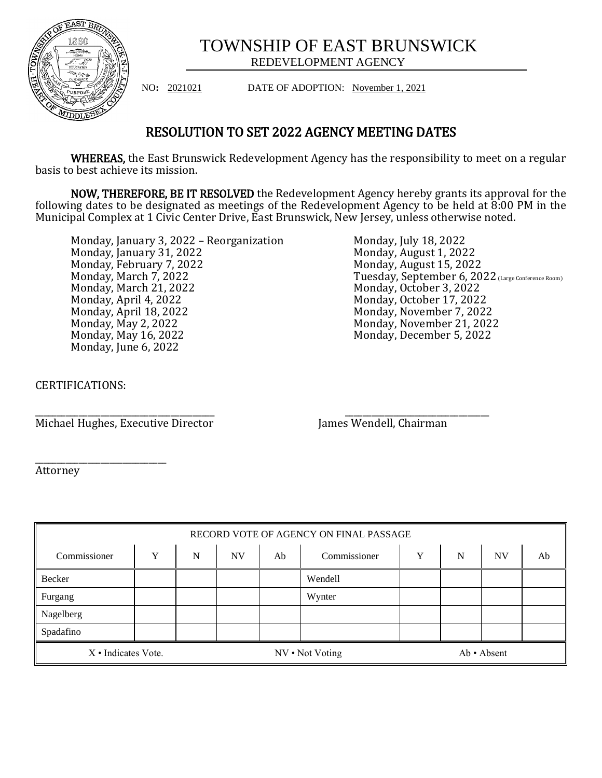

## TOWNSHIP OF EAST BRUNSWICK REDEVELOPMENT AGENCY

NO**:** 2021021 DATE OF ADOPTION: November 1, 2021

## RESOLUTION TO SET 2022 AGENCY MEETING DATES

WHEREAS, the East Brunswick Redevelopment Agency has the responsibility to meet on a regular basis to best achieve its mission.

NOW, THEREFORE, BE IT RESOLVED the Redevelopment Agency hereby grants its approval for the following dates to be designated as meetings of the Redevelopment Agency to be held at 8:00 PM in the Municipal Complex at 1 Civic Center Drive, East Brunswick, New Jersey, unless otherwise noted.

Monday, January 3, 2022 – Reorganization Monday, January 31, 2022 Monday, February 7, 2022 Monday, March 7, 2022 Monday, March 21, 2022 Monday, April 4, 2022 Monday, April 18, 2022 Monday, May 2, 2022 Monday, May 16, 2022 Monday, June 6, 2022

Monday, July 18, 2022 Monday, August 1, 2022 Monday, August 15, 2022 Tuesday, September 6, 2022 (Large Conference Room) Monday, October 3, 2022 Monday, October 17, 2022 Monday, November 7, 2022 Monday, November 21, 2022 Monday, December 5, 2022

CERTIFICATIONS:

Michael Hughes, Executive Director James Wendell, Chairman

\_\_\_\_\_\_\_\_\_\_\_\_\_\_\_\_\_\_\_\_\_\_\_\_\_\_\_\_\_\_\_\_\_\_\_\_\_\_\_\_\_ \_\_\_\_\_\_\_\_\_\_\_\_\_\_\_\_\_\_\_\_\_\_\_\_\_\_\_\_\_\_\_\_\_

\_\_\_\_\_\_\_\_\_\_\_\_\_\_\_\_\_\_\_\_\_\_\_\_\_\_\_\_\_\_ Attorney

| RECORD VOTE OF AGENCY ON FINAL PASSAGE |   |   |                 |    |              |             |   |           |    |
|----------------------------------------|---|---|-----------------|----|--------------|-------------|---|-----------|----|
| Commissioner                           | v | N | <b>NV</b>       | Ab | Commissioner | Y           | N | <b>NV</b> | Ab |
| Becker                                 |   |   |                 |    | Wendell      |             |   |           |    |
| Furgang                                |   |   |                 |    | Wynter       |             |   |           |    |
| Nagelberg                              |   |   |                 |    |              |             |   |           |    |
| Spadafino                              |   |   |                 |    |              |             |   |           |    |
| X · Indicates Vote.                    |   |   | NV • Not Voting |    |              | Ab · Absent |   |           |    |